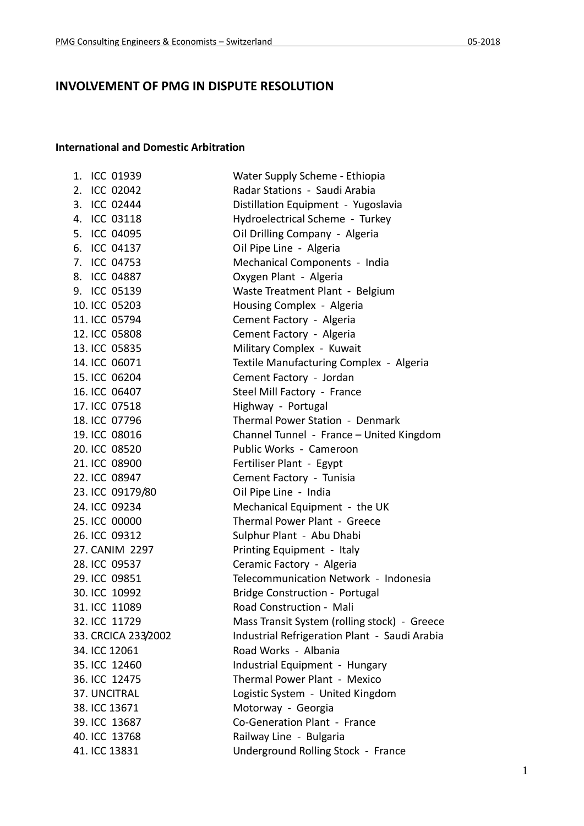## **INVOLVEMENT OF PMG IN DISPUTE RESOLUTION**

## **International and Domestic Arbitration**

|  | 1. ICC 01939        | Water Supply Scheme - Ethiopia                |
|--|---------------------|-----------------------------------------------|
|  | 2. ICC 02042        | Radar Stations - Saudi Arabia                 |
|  | 3. ICC 02444        | Distillation Equipment - Yugoslavia           |
|  | 4. ICC 03118        | Hydroelectrical Scheme - Turkey               |
|  | 5. ICC 04095        | Oil Drilling Company - Algeria                |
|  | 6. ICC 04137        | Oil Pipe Line - Algeria                       |
|  | 7. ICC 04753        | Mechanical Components - India                 |
|  | 8. ICC 04887        | Oxygen Plant - Algeria                        |
|  | 9. ICC 05139        | Waste Treatment Plant - Belgium               |
|  | 10. ICC 05203       | Housing Complex - Algeria                     |
|  | 11. ICC 05794       | Cement Factory - Algeria                      |
|  | 12. ICC 05808       | Cement Factory - Algeria                      |
|  | 13. ICC 05835       | Military Complex - Kuwait                     |
|  | 14. ICC 06071       | Textile Manufacturing Complex - Algeria       |
|  | 15. ICC 06204       | Cement Factory - Jordan                       |
|  | 16. ICC 06407       | Steel Mill Factory - France                   |
|  | 17. ICC 07518       | Highway - Portugal                            |
|  | 18. ICC 07796       | Thermal Power Station - Denmark               |
|  | 19. ICC 08016       | Channel Tunnel - France - United Kingdom      |
|  | 20. ICC 08520       | Public Works - Cameroon                       |
|  | 21. ICC 08900       | Fertiliser Plant - Egypt                      |
|  | 22. ICC 08947       | Cement Factory - Tunisia                      |
|  | 23. ICC 09179/80    | Oil Pipe Line - India                         |
|  | 24. ICC 09234       | Mechanical Equipment - the UK                 |
|  | 25. ICC 00000       | Thermal Power Plant - Greece                  |
|  | 26. ICC 09312       | Sulphur Plant - Abu Dhabi                     |
|  | 27. CANIM 2297      | Printing Equipment - Italy                    |
|  | 28. ICC 09537       | Ceramic Factory - Algeria                     |
|  | 29. ICC 09851       | Telecommunication Network - Indonesia         |
|  | 30. ICC 10992       | <b>Bridge Construction - Portugal</b>         |
|  | 31. ICC 11089       | Road Construction - Mali                      |
|  | 32. ICC 11729       | Mass Transit System (rolling stock) - Greece  |
|  | 33. CRCICA 233/2002 | Industrial Refrigeration Plant - Saudi Arabia |
|  | 34. ICC 12061       | Road Works - Albania                          |
|  | 35. ICC 12460       | Industrial Equipment - Hungary                |
|  | 36. ICC 12475       | Thermal Power Plant - Mexico                  |
|  | 37. UNCITRAL        | Logistic System - United Kingdom              |
|  | 38. ICC 13671       | Motorway - Georgia                            |
|  | 39. ICC 13687       | Co-Generation Plant - France                  |
|  | 40. ICC 13768       | Railway Line - Bulgaria                       |
|  | 41. ICC 13831       | Underground Rolling Stock - France            |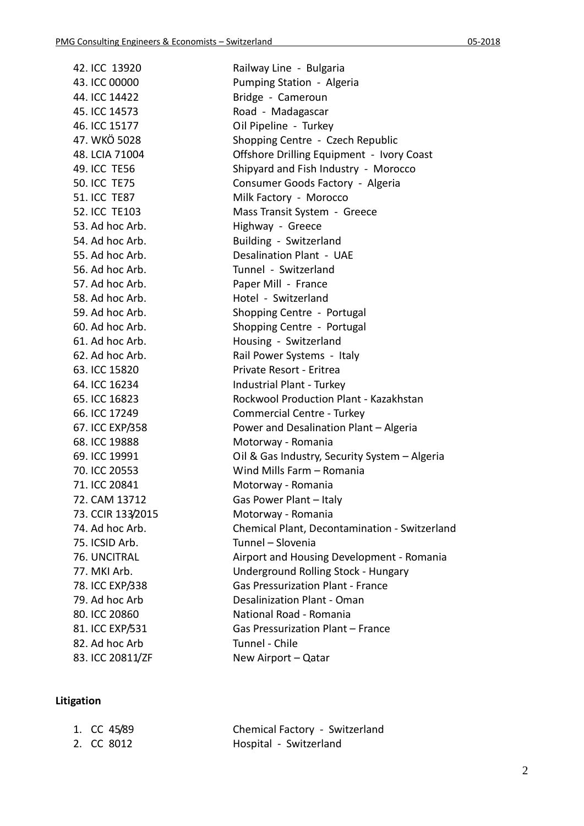| 42. ICC 13920       | Railway Line - Bulgaria                       |
|---------------------|-----------------------------------------------|
| 43. ICC 00000       | Pumping Station - Algeria                     |
| 44. ICC 14422       | Bridge - Cameroun                             |
| 45. ICC 14573       | Road - Madagascar                             |
| 46. ICC 15177       | Oil Pipeline - Turkey                         |
| 47. WKÖ 5028        | Shopping Centre - Czech Republic              |
| 48. LCIA 71004      | Offshore Drilling Equipment - Ivory Coast     |
| 49. ICC TE56        | Shipyard and Fish Industry - Morocco          |
| <b>50. ICC TE75</b> | Consumer Goods Factory - Algeria              |
| <b>51. ICC TE87</b> | Milk Factory - Morocco                        |
| 52. ICC TE103       | Mass Transit System - Greece                  |
| 53. Ad hoc Arb.     | Highway - Greece                              |
| 54. Ad hoc Arb.     | Building - Switzerland                        |
| 55. Ad hoc Arb.     | Desalination Plant - UAE                      |
| 56. Ad hoc Arb.     | Tunnel - Switzerland                          |
| 57. Ad hoc Arb.     | Paper Mill - France                           |
| 58. Ad hoc Arb.     | Hotel - Switzerland                           |
| 59. Ad hoc Arb.     | Shopping Centre - Portugal                    |
| 60. Ad hoc Arb.     | Shopping Centre - Portugal                    |
| 61. Ad hoc Arb.     | Housing - Switzerland                         |
| 62. Ad hoc Arb.     | Rail Power Systems - Italy                    |
| 63. ICC 15820       | Private Resort - Eritrea                      |
| 64. ICC 16234       | Industrial Plant - Turkey                     |
| 65. ICC 16823       | Rockwool Production Plant - Kazakhstan        |
| 66. ICC 17249       | Commercial Centre - Turkey                    |
| 67. ICC EXP/358     | Power and Desalination Plant - Algeria        |
| 68. ICC 19888       | Motorway - Romania                            |
| 69. ICC 19991       | Oil & Gas Industry, Security System - Algeria |
| 70. ICC 20553       | Wind Mills Farm - Romania                     |
| 71. ICC 20841       | Motorway - Romania                            |
| 72. CAM 13712       | Gas Power Plant - Italy                       |
| 73. CCIR 133/2015   | Motorway - Romania                            |
| 74. Ad hoc Arb.     | Chemical Plant, Decontamination - Switzerland |
| 75. ICSID Arb.      | Tunnel - Slovenia                             |
| 76. UNCITRAL        | Airport and Housing Development - Romania     |
| 77. MKI Arb.        | <b>Underground Rolling Stock - Hungary</b>    |
| 78. ICC EXP/338     | <b>Gas Pressurization Plant - France</b>      |
| 79. Ad hoc Arb      | Desalinization Plant - Oman                   |
| 80. ICC 20860       | National Road - Romania                       |
| 81. ICC EXP/531     | Gas Pressurization Plant - France             |
| 82. Ad hoc Arb      | Tunnel - Chile                                |
| 83. ICC 20811/ZF    | New Airport - Qatar                           |

## **Litigation**

| 1. CC 45/89 | Chemical Factory - Switzerland |
|-------------|--------------------------------|
| 2. CC 8012  | Hospital - Switzerland         |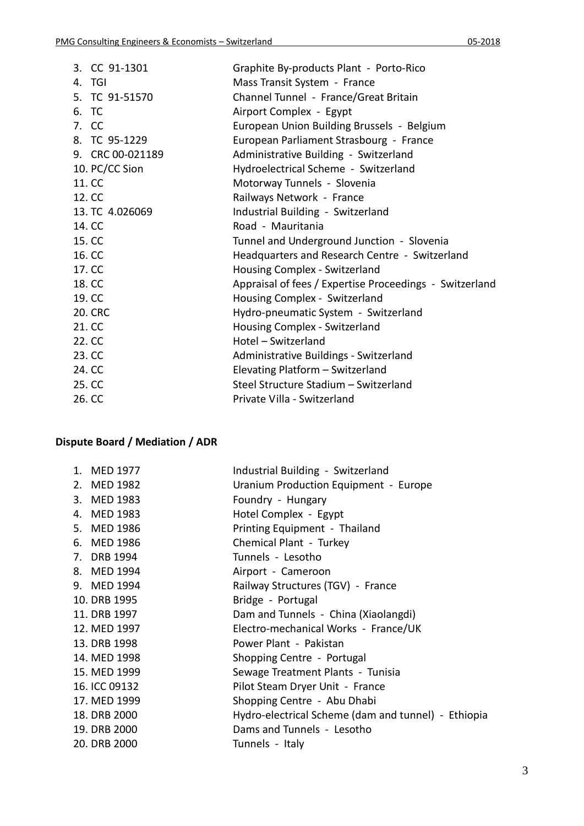| Graphite By-products Plant - Porto-Rico                 |
|---------------------------------------------------------|
|                                                         |
| Channel Tunnel - France/Great Britain                   |
|                                                         |
| European Union Building Brussels - Belgium              |
| European Parliament Strasbourg - France                 |
| Administrative Building - Switzerland                   |
| Hydroelectrical Scheme - Switzerland                    |
|                                                         |
|                                                         |
|                                                         |
|                                                         |
| Tunnel and Underground Junction - Slovenia              |
| Headquarters and Research Centre - Switzerland          |
|                                                         |
| Appraisal of fees / Expertise Proceedings - Switzerland |
|                                                         |
| Hydro-pneumatic System - Switzerland                    |
|                                                         |
|                                                         |
| Administrative Buildings - Switzerland                  |
|                                                         |
| Steel Structure Stadium - Switzerland                   |
|                                                         |
| Industrial Building - Switzerland                       |

## **Dispute Board / Mediation / ADR**

| 1. MED 1977   | Industrial Building - Switzerland                   |
|---------------|-----------------------------------------------------|
| 2. MED 1982   | Uranium Production Equipment - Europe               |
| 3. MED 1983   | Foundry - Hungary                                   |
| 4. MED 1983   | Hotel Complex - Egypt                               |
| 5. MED 1986   | Printing Equipment - Thailand                       |
| 6. MED 1986   | Chemical Plant - Turkey                             |
| 7. DRB 1994   | Tunnels - Lesotho                                   |
| 8. MED 1994   | Airport - Cameroon                                  |
| 9. MED 1994   | Railway Structures (TGV) - France                   |
| 10. DRB 1995  | Bridge - Portugal                                   |
| 11. DRB 1997  | Dam and Tunnels - China (Xiaolangdi)                |
| 12. MED 1997  | Electro-mechanical Works - France/UK                |
| 13. DRB 1998  | Power Plant - Pakistan                              |
| 14. MED 1998  | Shopping Centre - Portugal                          |
| 15. MED 1999  | Sewage Treatment Plants - Tunisia                   |
| 16. ICC 09132 | Pilot Steam Dryer Unit - France                     |
| 17. MED 1999  | Shopping Centre - Abu Dhabi                         |
| 18. DRB 2000  | Hydro-electrical Scheme (dam and tunnel) - Ethiopia |
| 19. DRB 2000  | Dams and Tunnels - Lesotho                          |
| 20. DRB 2000  | Tunnels - Italy                                     |